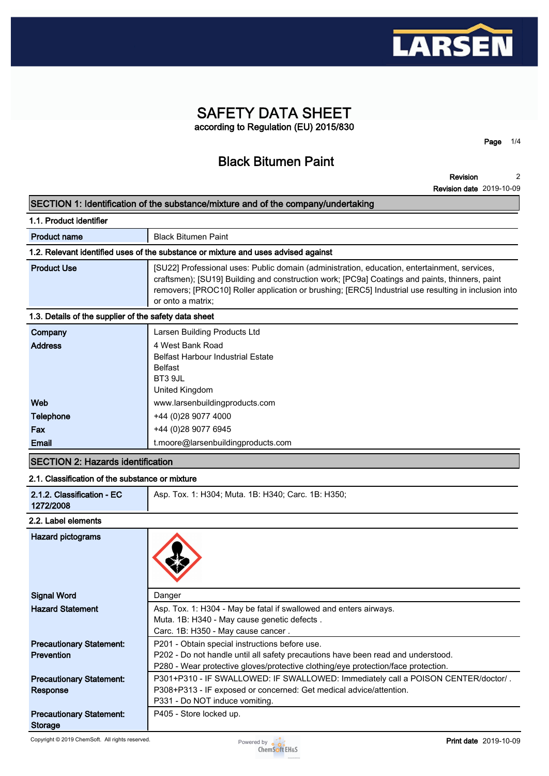

# **SAFETY DATA SHEET according to Regulation (EU) 2015/830**

**Black Bitumen Paint**

**Revision Revision date 2019-10-09 2**

**Page 1/4**

**SECTION 1: Identification of the substance/mixture and of the company/undertaking**

| 1.1. Product identifier                                                            |                                                                                                                                                                                                                                                                                                                             |  |  |
|------------------------------------------------------------------------------------|-----------------------------------------------------------------------------------------------------------------------------------------------------------------------------------------------------------------------------------------------------------------------------------------------------------------------------|--|--|
| <b>Product name</b>                                                                | <b>Black Bitumen Paint</b>                                                                                                                                                                                                                                                                                                  |  |  |
| 1.2. Relevant identified uses of the substance or mixture and uses advised against |                                                                                                                                                                                                                                                                                                                             |  |  |
| <b>Product Use</b>                                                                 | [SU22] Professional uses: Public domain (administration, education, entertainment, services,<br>craftsmen); [SU19] Building and construction work; [PC9a] Coatings and paints, thinners, paint<br>removers; [PROC10] Roller application or brushing; [ERC5] Industrial use resulting in inclusion into<br>or onto a matrix; |  |  |
| 1.3. Details of the supplier of the safety data sheet                              |                                                                                                                                                                                                                                                                                                                             |  |  |
| Company                                                                            | Larsen Building Products Ltd                                                                                                                                                                                                                                                                                                |  |  |
|                                                                                    |                                                                                                                                                                                                                                                                                                                             |  |  |

| Company          | Larsen Building Products Ltd       |
|------------------|------------------------------------|
| <b>Address</b>   | 4 West Bank Road                   |
|                  | Belfast Harbour Industrial Estate  |
|                  | <b>Belfast</b>                     |
|                  | BT3 9JL                            |
|                  | United Kingdom                     |
| Web              | www.larsenbuildingproducts.com     |
| <b>Telephone</b> | +44 (0)28 9077 4000                |
| Fax              | +44 (0) 28 9077 6945               |
| Email            | t.moore@larsenbuildingproducts.com |

# **SECTION 2: Hazards identification**

# **2.1. Classification of the substance or mixture**

|--|

## **2.2. Label elements**

| <b>Hazard pictograms</b>                             |                                                                                                                                                                                                                         |
|------------------------------------------------------|-------------------------------------------------------------------------------------------------------------------------------------------------------------------------------------------------------------------------|
| <b>Signal Word</b>                                   | Danger                                                                                                                                                                                                                  |
| <b>Hazard Statement</b>                              | Asp. Tox. 1: H304 - May be fatal if swallowed and enters airways.<br>Muta. 1B: H340 - May cause genetic defects.<br>Carc. 1B: H350 - May cause cancer.                                                                  |
| <b>Precautionary Statement:</b><br><b>Prevention</b> | P201 - Obtain special instructions before use.<br>P202 - Do not handle until all safety precautions have been read and understood.<br>P280 - Wear protective gloves/protective clothing/eye protection/face protection. |
| <b>Precautionary Statement:</b><br>Response          | P301+P310 - IF SWALLOWED: IF SWALLOWED: Immediately call a POISON CENTER/doctor/.<br>P308+P313 - IF exposed or concerned: Get medical advice/attention.<br>P331 - Do NOT induce vomiting.                               |
| <b>Precautionary Statement:</b><br><b>Storage</b>    | P405 - Store locked up.                                                                                                                                                                                                 |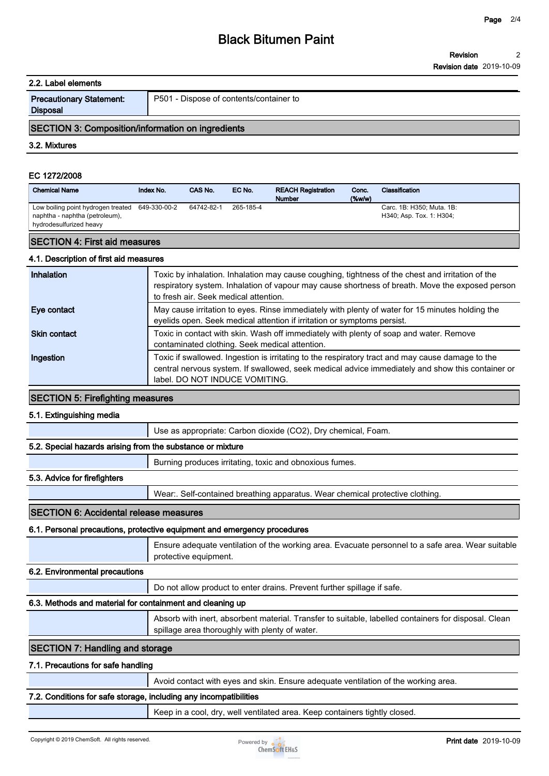#### **2.2. Label elements**

| <b>Precautionary Statement:</b> |  |
|---------------------------------|--|
| <b>Disposal</b>                 |  |

**P501 - Dispose of contents/container to**

# **SECTION 3: Composition/information on ingredients**

**3.2. Mixtures**

## **EC 1272/2008**

| <b>Chemical Name</b>                                                                                         | Index No. | CAS No.    | EC No.    | <b>REACH Registration</b><br><b>Number</b> | Conc.<br>$($ %w/w $)$ | Classification                                        |
|--------------------------------------------------------------------------------------------------------------|-----------|------------|-----------|--------------------------------------------|-----------------------|-------------------------------------------------------|
| Low boiling point hydrogen treated 649-330-00-2<br>naphtha - naphtha (petroleum),<br>hydrodesulfurized heavy |           | 64742-82-1 | 265-185-4 |                                            |                       | Carc. 1B: H350; Muta. 1B:<br>H340; Asp. Tox. 1: H304; |
| <b>SECTION 4: First aid measures</b>                                                                         |           |            |           |                                            |                       |                                                       |

## **4.1. Description of first aid measures**

| Inhalation          | Toxic by inhalation. Inhalation may cause coughing, tightness of the chest and irritation of the<br>respiratory system. Inhalation of vapour may cause shortness of breath. Move the exposed person<br>to fresh air. Seek medical attention. |
|---------------------|----------------------------------------------------------------------------------------------------------------------------------------------------------------------------------------------------------------------------------------------|
| Eye contact         | May cause irritation to eyes. Rinse immediately with plenty of water for 15 minutes holding the<br>eyelids open. Seek medical attention if irritation or symptoms persist.                                                                   |
| <b>Skin contact</b> | Toxic in contact with skin. Wash off immediately with plenty of soap and water. Remove<br>contaminated clothing. Seek medical attention.                                                                                                     |
| Ingestion           | Toxic if swallowed. Ingestion is irritating to the respiratory tract and may cause damage to the<br>central nervous system. If swallowed, seek medical advice immediately and show this container or<br>label. DO NOT INDUCE VOMITING.       |

#### **SECTION 5: Firefighting measures**

#### **5.1. Extinguishing media**

|  | Use as appropriate: Carbon dioxide (CO2), Dry chemical, Foam. |
|--|---------------------------------------------------------------|
|--|---------------------------------------------------------------|

#### **5.2. Special hazards arising from the substance or mixture**

**Burning produces irritating, toxic and obnoxious fumes.**

# **5.3. Advice for firefighters**

**Wear:. Self-contained breathing apparatus. Wear chemical protective clothing.**

# **SECTION 6: Accidental release measures**

#### **6.1. Personal precautions, protective equipment and emergency procedures**

**Ensure adequate ventilation of the working area. Evacuate personnel to a safe area. Wear suitable protective equipment.**

## **6.2. Environmental precautions**

**Do not allow product to enter drains. Prevent further spillage if safe.**

# **6.3. Methods and material for containment and cleaning up**

**Absorb with inert, absorbent material. Transfer to suitable, labelled containers for disposal. Clean spillage area thoroughly with plenty of water.**

# **SECTION 7: Handling and storage**

# **7.1. Precautions for safe handling**

**Avoid contact with eyes and skin. Ensure adequate ventilation of the working area.**

# **7.2. Conditions for safe storage, including any incompatibilities**

**Keep in a cool, dry, well ventilated area. Keep containers tightly closed.**

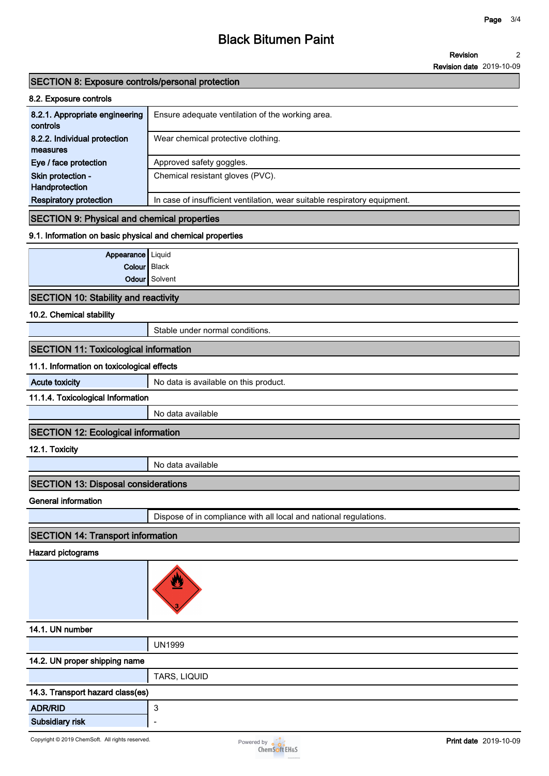# **Black Bitumen Paint**

**Revision date 2019-10-09**

# **SECTION 8: Exposure controls/personal protection**

| 8.2. Exposure controls                     |                                                                           |
|--------------------------------------------|---------------------------------------------------------------------------|
| 8.2.1. Appropriate engineering<br>controls | Ensure adequate ventilation of the working area.                          |
| 8.2.2. Individual protection<br>measures   | Wear chemical protective clothing.                                        |
| Eye / face protection                      | Approved safety goggles.                                                  |
| Skin protection -<br>Handprotection        | Chemical resistant gloves (PVC).                                          |
| <b>Respiratory protection</b>              | In case of insufficient ventilation, wear suitable respiratory equipment. |

# **SECTION 9: Physical and chemical properties**

# **9.1. Information on basic physical and chemical properties**

| Appearance   Liquid |               |
|---------------------|---------------|
| Colour Black        |               |
|                     | Odour Solvent |

# **SECTION 10: Stability and reactivity**

## **10.2. Chemical stability**

**Stable under normal conditions.**

# **SECTION 11: Toxicological information**

## **11.1. Information on toxicological effects**

| <b>Acute toxicity</b>                     | No data is available on this product. |  |  |
|-------------------------------------------|---------------------------------------|--|--|
| 11.1.4. Toxicological Information         |                                       |  |  |
|                                           | No data available                     |  |  |
| $10-0.7121140 - 111114$<br>$\blacksquare$ |                                       |  |  |

# **SECTION 12: Ecological information**

**12.1. Toxicity**

**No data available**

# **SECTION 13: Disposal considerations**

**General information**

**Dispose of in compliance with all local and national regulations.**

# **SECTION 14: Transport information**

## **Hazard pictograms**



# **14.1. UN number**

|                               | <b>UN1999</b> |
|-------------------------------|---------------|
| 14.2. UN proper shipping name |               |
|                               | TARS, LIQUID  |

| 14.3. Transport hazard class(es) |                          |  |
|----------------------------------|--------------------------|--|
| <b>ADR/RID</b>                   |                          |  |
| <b>Subsidiary risk</b>           | $\overline{\phantom{a}}$ |  |